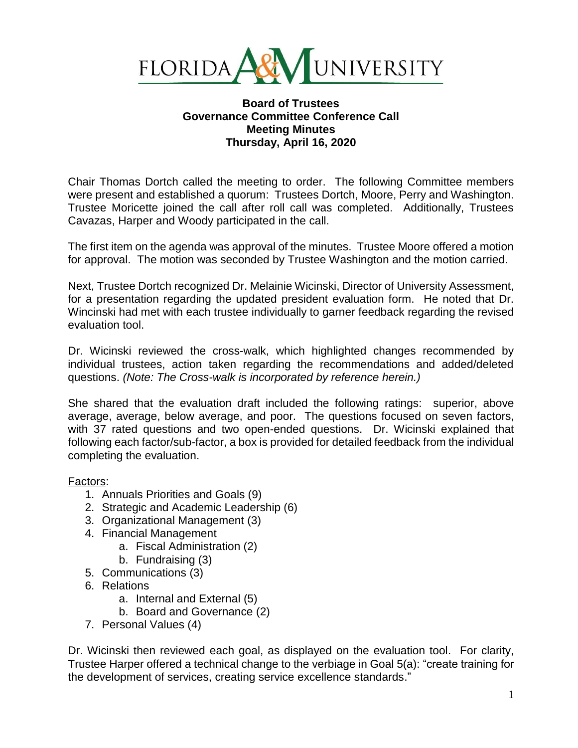

## **Board of Trustees Governance Committee Conference Call Meeting Minutes Thursday, April 16, 2020**

Chair Thomas Dortch called the meeting to order. The following Committee members were present and established a quorum: Trustees Dortch, Moore, Perry and Washington. Trustee Moricette joined the call after roll call was completed. Additionally, Trustees Cavazas, Harper and Woody participated in the call.

The first item on the agenda was approval of the minutes. Trustee Moore offered a motion for approval. The motion was seconded by Trustee Washington and the motion carried.

Next, Trustee Dortch recognized Dr. Melainie Wicinski, Director of University Assessment, for a presentation regarding the updated president evaluation form. He noted that Dr. Wincinski had met with each trustee individually to garner feedback regarding the revised evaluation tool.

Dr. Wicinski reviewed the cross-walk, which highlighted changes recommended by individual trustees, action taken regarding the recommendations and added/deleted questions. *(Note: The Cross-walk is incorporated by reference herein.)*

She shared that the evaluation draft included the following ratings: superior, above average, average, below average, and poor. The questions focused on seven factors, with 37 rated questions and two open-ended questions. Dr. Wicinski explained that following each factor/sub-factor, a box is provided for detailed feedback from the individual completing the evaluation.

## Factors:

- 1. Annuals Priorities and Goals (9)
- 2. Strategic and Academic Leadership (6)
- 3. Organizational Management (3)
- 4. Financial Management
	- a. Fiscal Administration (2)
	- b. Fundraising (3)
- 5. Communications (3)
- 6. Relations
	- a. Internal and External (5)
	- b. Board and Governance (2)
- 7. Personal Values (4)

Dr. Wicinski then reviewed each goal, as displayed on the evaluation tool. For clarity, Trustee Harper offered a technical change to the verbiage in Goal 5(a): "create training for the development of services, creating service excellence standards."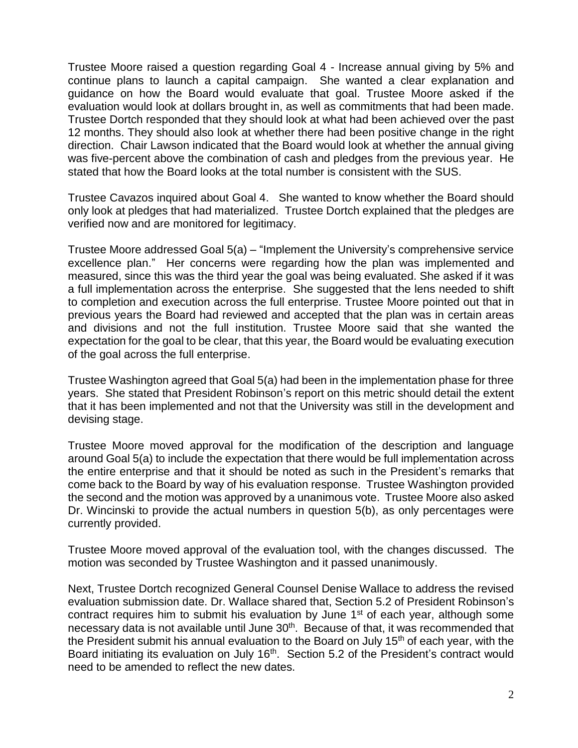Trustee Moore raised a question regarding Goal 4 - Increase annual giving by 5% and continue plans to launch a capital campaign. She wanted a clear explanation and guidance on how the Board would evaluate that goal. Trustee Moore asked if the evaluation would look at dollars brought in, as well as commitments that had been made. Trustee Dortch responded that they should look at what had been achieved over the past 12 months. They should also look at whether there had been positive change in the right direction. Chair Lawson indicated that the Board would look at whether the annual giving was five-percent above the combination of cash and pledges from the previous year. He stated that how the Board looks at the total number is consistent with the SUS.

Trustee Cavazos inquired about Goal 4. She wanted to know whether the Board should only look at pledges that had materialized. Trustee Dortch explained that the pledges are verified now and are monitored for legitimacy.

Trustee Moore addressed Goal 5(a) – "Implement the University's comprehensive service excellence plan." Her concerns were regarding how the plan was implemented and measured, since this was the third year the goal was being evaluated. She asked if it was a full implementation across the enterprise. She suggested that the lens needed to shift to completion and execution across the full enterprise. Trustee Moore pointed out that in previous years the Board had reviewed and accepted that the plan was in certain areas and divisions and not the full institution. Trustee Moore said that she wanted the expectation for the goal to be clear, that this year, the Board would be evaluating execution of the goal across the full enterprise.

Trustee Washington agreed that Goal 5(a) had been in the implementation phase for three years. She stated that President Robinson's report on this metric should detail the extent that it has been implemented and not that the University was still in the development and devising stage.

Trustee Moore moved approval for the modification of the description and language around Goal 5(a) to include the expectation that there would be full implementation across the entire enterprise and that it should be noted as such in the President's remarks that come back to the Board by way of his evaluation response. Trustee Washington provided the second and the motion was approved by a unanimous vote. Trustee Moore also asked Dr. Wincinski to provide the actual numbers in question 5(b), as only percentages were currently provided.

Trustee Moore moved approval of the evaluation tool, with the changes discussed. The motion was seconded by Trustee Washington and it passed unanimously.

Next, Trustee Dortch recognized General Counsel Denise Wallace to address the revised evaluation submission date. Dr. Wallace shared that, Section 5.2 of President Robinson's contract requires him to submit his evaluation by June 1<sup>st</sup> of each year, although some necessary data is not available until June 30<sup>th</sup>. Because of that, it was recommended that the President submit his annual evaluation to the Board on July 15<sup>th</sup> of each year, with the Board initiating its evaluation on July 16<sup>th</sup>. Section 5.2 of the President's contract would need to be amended to reflect the new dates.